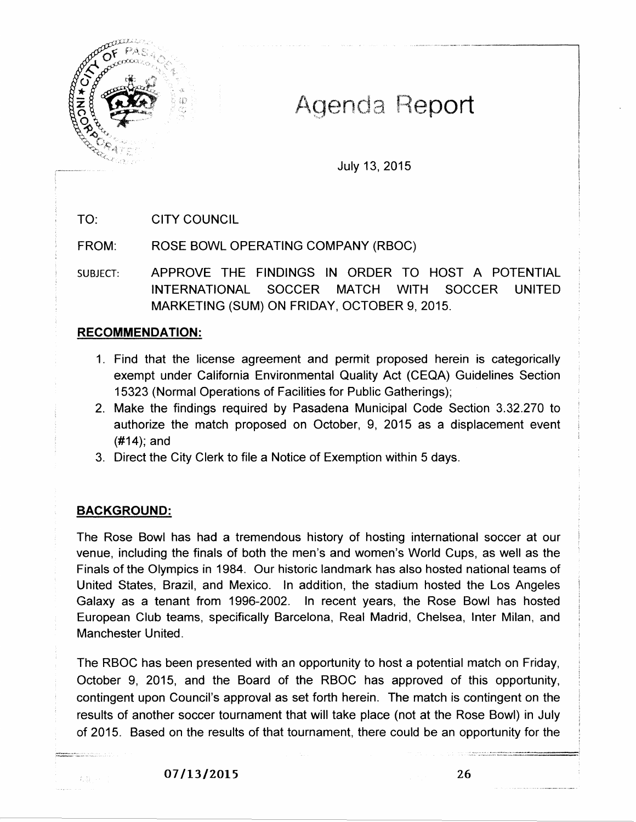

# Agenda Report

July 13, 2015

TO: CITY COUNCIL

FROM: ROSE BOWL OPERATING COMPANY (RBOC)

SUBJECT: APPROVE THE FINDINGS IN ORDER TO HOST A POTENTIAL INTERNATIONAL SOCCER MATCH WITH SOCCER UNITED MARKETING (SUM) ON FRIDAY, OCTOBER 9, 2015.

# **RECOMMENDATION:**

- 1. Find that the license agreement and permit proposed herein is categorically exempt under California Environmental Quality Act (CEQA) Guidelines Section 15323 (Normal Operations of Facilities for Public Gatherings);
- 2. Make the findings required by Pasadena Municipal Code Section 3.32.270 to authorize the match proposed on October, 9, 2015 as a displacement event (#14); and
- 3. Direct the City Clerk to file a Notice of Exemption within 5 days.

# **BACKGROUND:**

 $\hat{t}_s\}_{t=1}^{\infty}$  .

The Rose Bowl has had a tremendous history of hosting international soccer at our venue, including the finals of both the men's and women's World Cups, as well as the Finals of the Olympics in 1984. Our historic landmark has also hosted national teams of United States, Brazil, and Mexico. In addition, the stadium hosted the Los Angeles Galaxy as a tenant from 1996-2002. In recent years, the Rose Bowl has hosted European Club teams, specifically Barcelona, Real Madrid, Chelsea, Inter Milan, and Manchester United.

The RBOC has been presented with an opportunity to host a potential match on Friday, October 9, 2015, and the Board of the RBOC has approved of this opportunity, contingent upon Council's approval as set forth herein. The match is contingent on the results of another soccer tournament that will take place (not at the Rose Bowl) in July of 2015. Based on the results of that tournament, there could be an opportunity for the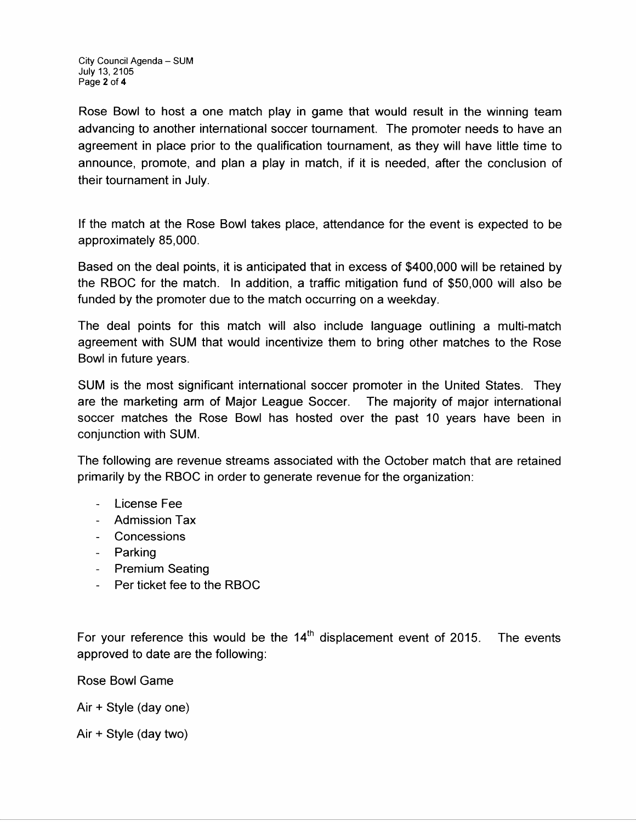City Council Agenda- SUM July 13, 2105 Page 2 of 4

Rose Bowl to host a one match play in game that would result in the winning team advancing to another international soccer tournament. The promoter needs to have an agreement in place prior to the qualification tournament, as they will have little time to announce, promote, and plan a play in match, if it is needed, after the conclusion of their tournament in July.

If the match at the Rose Bowl takes place, attendance for the event is expected to be approximately 85,000.

Based on the deal points, it is anticipated that in excess of \$400,000 will be retained by the RBOC for the match. In addition, a traffic mitigation fund of \$50,000 will also be funded by the promoter due to the match occurring on a weekday.

The deal points for this match will also include language outlining a multi-match agreement with SUM that would incentivize them to bring other matches to the Rose Bowl in future years.

SUM is the most significant international soccer promoter in the United States. They are the marketing arm of Major League Soccer. The majority of major international soccer matches the Rose Bowl has hosted over the past 10 years have been in conjunction with SUM.

The following are revenue streams associated with the October match that are retained primarily by the RBOC in order to generate revenue for the organization:

- License Fee
- Admission Tax
- Concessions
- Parking
- Premium Seating
- Per ticket fee to the RBOC

For your reference this would be the  $14<sup>th</sup>$  displacement event of 2015. The events approved to date are the following:

Rose Bowl Game

Air + Style (day one)

Air + Style (day two)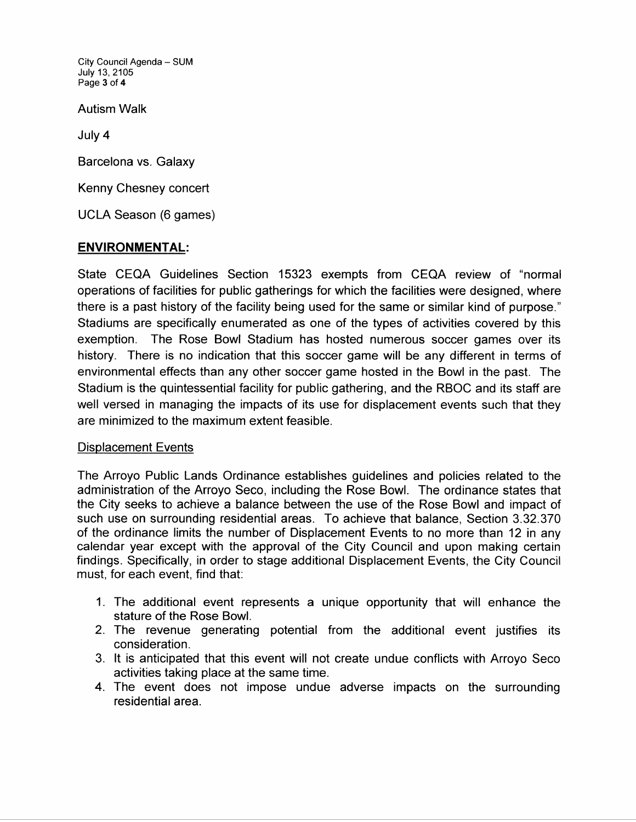City Council Agenda - SUM July 13, 2105 Page 3 of 4

Autism Walk

July4

Barcelona vs. Galaxy

Kenny Chesney concert

UCLA Season (6 games)

# **ENVIRONMENTAL:**

State CEQA Guidelines Section 15323 exempts from CEQA review of "normal operations of facilities for public gatherings for which the facilities were designed, where there is a past history of the facility being used for the same or similar kind of purpose." Stadiums are specifically enumerated as one of the types of activities covered by this exemption. The Rose Bowl Stadium has hosted numerous soccer games over its history. There is no indication that this soccer game will be any different in terms of environmental effects than any other soccer game hosted in the Bowl in the past. The Stadium is the quintessential facility for public gathering, and the RBOC and its staff are well versed in managing the impacts of its use for displacement events such that they are minimized to the maximum extent feasible.

### Displacement Events

The Arroyo Public Lands Ordinance establishes guidelines and policies related to the administration of the Arroyo Seco, including the Rose Bowl. The ordinance states that the City seeks to achieve a balance between the use of the Rose Bowl and impact of such use on surrounding residential areas. To achieve that balance, Section 3.32.370 of the ordinance limits the number of Displacement Events to no more than 12 in any calendar year except with the approval of the City Council and upon making certain findings. Specifically, in order to stage additional Displacement Events, the City Council must, for each event, find that:

- 1. The additional event represents a unique opportunity that will enhance the stature of the Rose Bowl.
- 2. The revenue generating potential from the additional event justifies its consideration.
- 3. It is anticipated that this event will not create undue conflicts with Arroyo Seco activities taking place at the same time.
- 4. The event does not impose undue adverse impacts on the surrounding residential area.